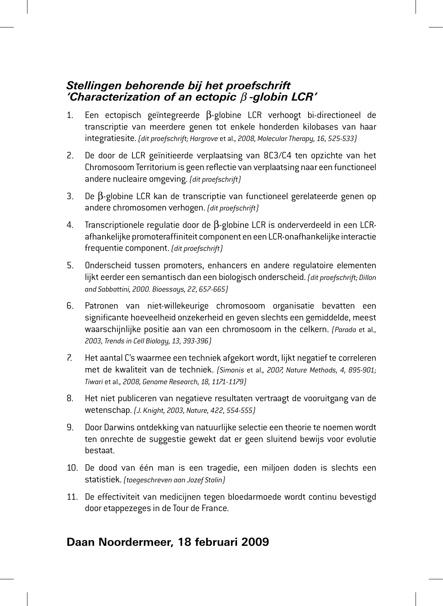## *Stellingen behorende bij het proefschrift 'Characterization of an ectopic* β *-globin LCR'*

- 1. Een ectopisch geïntegreerde β-globine LCR verhoogt bi-directioneel de transcriptie van meerdere genen tot enkele honderden kilobases van haar integratiesite. *(dit proefschrift; Hargrove* et al.*, 2008, Molecular Therapy, 16, 525-533)*
- 2. De door de LCR geïnitieerde verplaatsing van 8C3/C4 ten opzichte van het Chromosoom Territorium is geen reflectie van verplaatsing naar een functioneel andere nucleaire omgeving. *(dit proefschrift)*
- 3. De β-globine LCR kan de transcriptie van functioneel gerelateerde genen op andere chromosomen verhogen. *(dit proefschrift)*
- 4. Transcriptionele regulatie door de β-globine LCR is onderverdeeld in een LCRafhankelijke promoteraffiniteit component en een LCR-onafhankelijke interactie frequentie component. *(dit proefschrift)*
- 5. Onderscheid tussen promoters, enhancers en andere regulatoire elementen lijkt eerder een semantisch dan een biologisch onderscheid. *(dit proefschrift; Dillon and Sabbattini, 2000. Bioessays, 22, 657-665)*
- 6. Patronen van niet-willekeurige chromosoom organisatie bevatten een significante hoeveelheid onzekerheid en geven slechts een gemiddelde, meest waarschijnlijke positie aan van een chromosoom in the celkern. *(Parada* et al*., 2003, Trends in Cell Biology, 13, 393-396)*
- 7. Het aantal C's waarmee een techniek afgekort wordt, lijkt negatief te correleren met de kwaliteit van de techniek. *(Simonis* et al.*, 2007, Nature Methods, 4, 895-901; Tiwari* et al.*, 2008, Genome Research, 18, 1171-1179)*
- 8. Het niet publiceren van negatieve resultaten vertraagt de vooruitgang van de wetenschap. *(J. Knight, 2003, Nature, 422, 554-555)*
- 9. Door Darwins ontdekking van natuurlijke selectie een theorie te noemen wordt ten onrechte de suggestie gewekt dat er geen sluitend bewijs voor evolutie bestaat.
- 10. De dood van één man is een tragedie, een miljoen doden is slechts een statistiek. *(toegeschreven aan Jozef Stalin)*
- 11. De effectiviteit van medicijnen tegen bloedarmoede wordt continu bevestigd door etappezeges in de Tour de France.

## **Daan Noordermeer, 18 februari 2009**